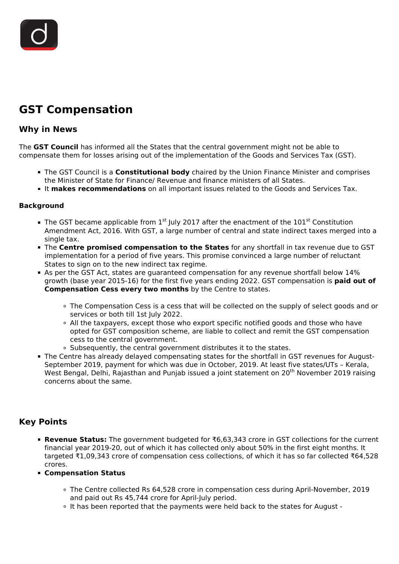

# **GST Compensation**

### **Why in News**

The **GST Council** has informed all the States that the central government might not be able to compensate them for losses arising out of the implementation of the Goods and Services Tax (GST).

- The GST Council is a **Constitutional body** chaired by the Union Finance Minister and comprises the Minister of State for Finance/ Revenue and finance ministers of all States.
- It **makes recommendations** on all important issues related to the Goods and Services Tax.

#### **Background**

- The GST became applicable from  $1<sup>st</sup>$  July 2017 after the enactment of the  $101<sup>st</sup>$  Constitution Amendment Act, 2016. With GST, a large number of central and state indirect taxes merged into a single tax.
- The **Centre promised compensation to the States** for any shortfall in tax revenue due to GST implementation for a period of five years. This promise convinced a large number of reluctant States to sign on to the new indirect tax regime.
- As per the GST Act, states are guaranteed compensation for any revenue shortfall below 14% growth (base year 2015-16) for the first five years ending 2022. GST compensation is **paid out of Compensation Cess every two months** by the Centre to states.
	- The Compensation Cess is a cess that will be collected on the supply of select goods and or services or both till 1st July 2022.
	- All the taxpayers, except those who export specific notified goods and those who have opted for GST composition scheme, are liable to collect and remit the GST compensation cess to the central government.
	- Subsequently, the central government distributes it to the states.
- The Centre has already delayed compensating states for the shortfall in GST revenues for August-September 2019, payment for which was due in October, 2019. At least five states/UTs – Kerala, West Bengal, Delhi, Rajasthan and Punjab issued a joint statement on 20<sup>th</sup> November 2019 raising concerns about the same.

## **Key Points**

- **Revenue Status:** The government budgeted for ₹6,63,343 crore in GST collections for the current financial year 2019-20, out of which it has collected only about 50% in the first eight months. It targeted ₹1,09,343 crore of compensation cess collections, of which it has so far collected ₹64,528 crores.
- **Compensation Status**
	- The Centre collected Rs 64,528 crore in compensation cess during April-November, 2019 and paid out Rs 45,744 crore for April-July period.
	- It has been reported that the payments were held back to the states for August -